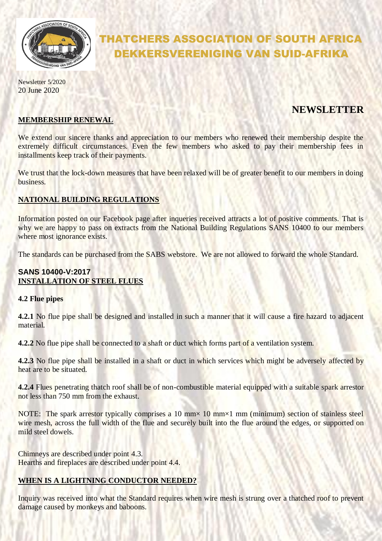

# THATCHERS ASSOCIATION OF SOUTH AFRICA DEKKERSVERENIGING VAN SUID-AFRIKA

Newsletter 5/2020 20 June 2020

# **NEWSLETTER**

#### **MEMBERSHIP RENEWAL**

We extend our sincere thanks and appreciation to our members who renewed their membership despite the extremely difficult circumstances. Even the few members who asked to pay their membership fees in installments keep track of their payments.

We trust that the lock-down measures that have been relaxed will be of greater benefit to our members in doing business.

## **NATIONAL BUILDING REGULATIONS**

Information posted on our Facebook page after inqueries received attracts a lot of positive comments. That is why we are happy to pass on extracts from the National Building Regulations SANS 10400 to our members where most ignorance exists.

The standards can be purchased from the SABS webstore. We are not allowed to forward the whole Standard.

# **SANS 10400-V:2017 INSTALLATION OF STEEL FLUES**

#### **4.2 Flue pipes**

**4.2.1** No flue pipe shall be designed and installed in such a manner that it will cause a fire hazard to adjacent material.

**4.2.2** No flue pipe shall be connected to a shaft or duct which forms part of a ventilation system.

**4.2.3** No flue pipe shall be installed in a shaft or duct in which services which might be adversely affected by heat are to be situated.

**4.2.4 Flues penetrating thatch roof shall be of non-combustible material equipped with a suitable spark arrestor** not less than 750 mm from the exhaust.

NOTE: The spark arrestor typically comprises a 10 mm $\times$  10 mm $\times$ 1 mm (minimum) section of stainless steel wire mesh, across the full width of the flue and securely built into the flue around the edges, or supported on mild steel dowels.

Chimneys are described under point 4.3. Hearths and fireplaces are described under point 4.4.

## **WHEN IS A LIGHTNING CONDUCTOR NEEDED?**

Inquiry was received into what the Standard requires when wire mesh is strung over a thatched roof to prevent damage caused by monkeys and baboons.